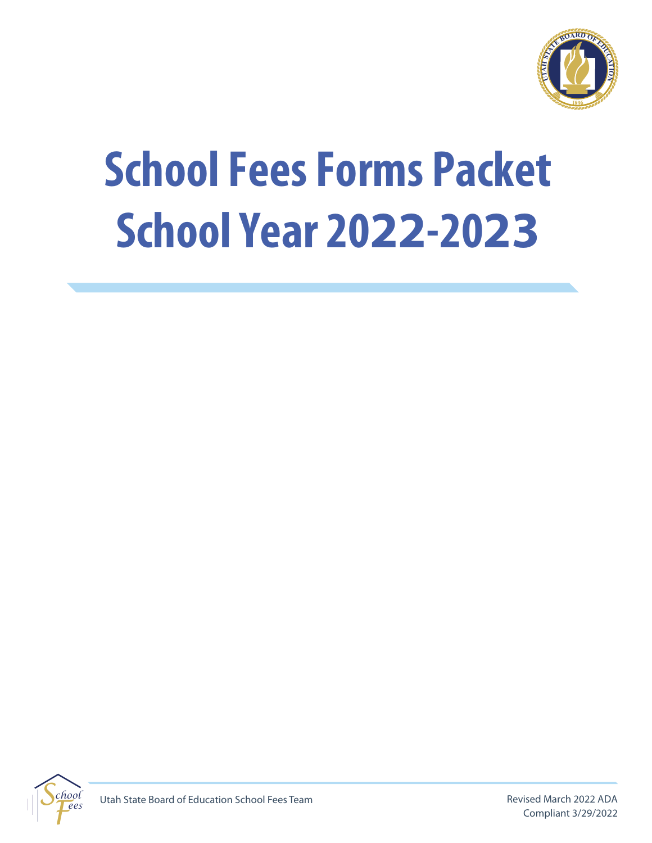

# **School Fees Forms Packet School Year 2022-2023**

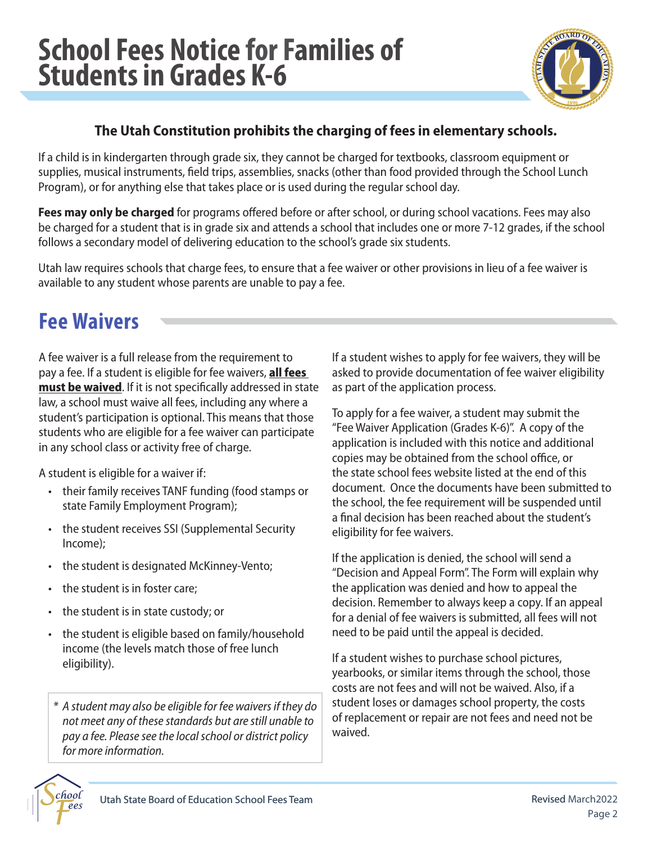

#### **The Utah Constitution prohibits the charging of fees in elementary schools.**

If a child is in kindergarten through grade six, they cannot be charged for textbooks, classroom equipment or supplies, musical instruments, feld trips, assemblies, snacks (other than food provided through the School Lunch Program), or for anything else that takes place or is used during the regular school day.

**Fees may only be charged** for programs offered before or after school, or during school vacations. Fees may also be charged for a student that is in grade six and attends a school that includes one or more 7-12 grades, if the school follows a secondary model of delivering education to the school's grade six students.

Utah law requires schools that charge fees, to ensure that a fee waiver or other provisions in lieu of a fee waiver is available to any student whose parents are unable to pay a fee.

### **Fee Waivers**

pay a fee. If a student is eligible for fee waivers, **all fees** pay a fee. If a student is eligible for fee waivers, <u>**all fees**<br>must be waived</u>. If it is not specifically addressed in state A fee waiver is a full release from the requirement to law, a school must waive all fees, including any where a student's participation is optional. This means that those students who are eligible for a fee waiver can participate in any school class or activity free of charge.

A student is eligible for a waiver if:

- their family receives TANF funding (food stamps or state Family Employment Program);
- the student receives SSI (Supplemental Security Income);
- the student is designated McKinney-Vento;
- the student is in foster care;
- the student is in state custody; or
- the student is eligible based on family/household income (the levels match those of free lunch eligibility).

*\* A student may also be eligible for fee waivers if they do not meet any of these standards but are still unable to pay a fee. Please see the local school or district policy for more information.* 

If a student wishes to apply for fee waivers, they will be asked to provide documentation of fee waiver eligibility as part of the application process.

To apply for a fee waiver, a student may submit the "Fee Waiver Application (Grades K-6)". A copy of the application is included with this notice and additional copies may be obtained from the school office, or the state school fees website listed at the end of this document. Once the documents have been submitted to the school, the fee requirement will be suspended until a fnal decision has been reached about the student's eligibility for fee waivers.

If the application is denied, the school will send a "Decision and Appeal Form". The Form will explain why the application was denied and how to appeal the decision. Remember to always keep a copy. If an appeal for a denial of fee waivers is submitted, all fees will not need to be paid until the appeal is decided.

If a student wishes to purchase school pictures, yearbooks, or similar items through the school, those costs are not fees and will not be waived. Also, if a student loses or damages school property, the costs of replacement or repair are not fees and need not be waived.

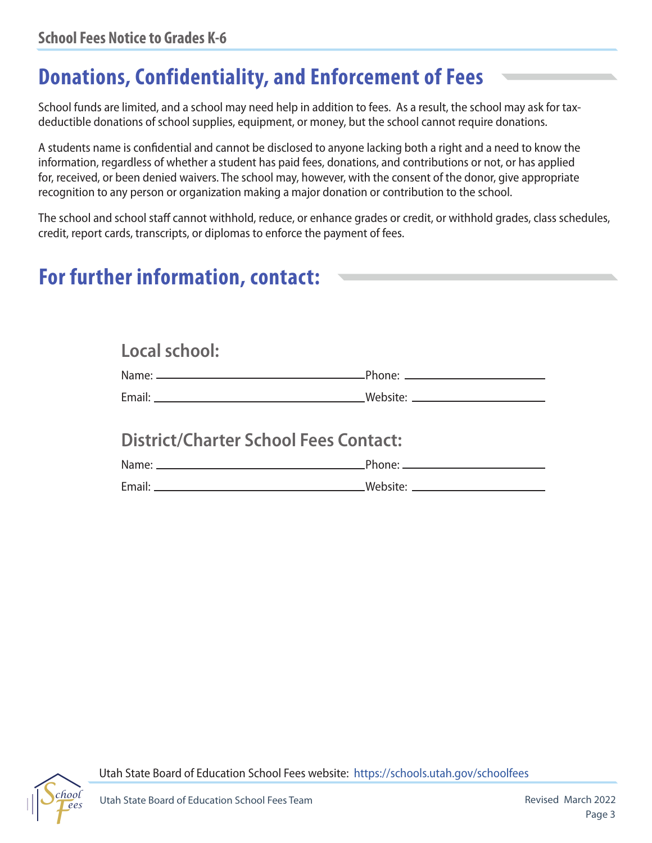### **Donations, Confidentiality, and Enforcement of Fees**

School funds are limited, and a school may need help in addition to fees. As a result, the school may ask for taxdeductible donations of school supplies, equipment, or money, but the school cannot require donations.

A students name is confdential and cannot be disclosed to anyone lacking both a right and a need to know the information, regardless of whether a student has paid fees, donations, and contributions or not, or has applied for, received, or been denied waivers. The school may, however, with the consent of the donor, give appropriate recognition to any person or organization making a major donation or contribution to the school.

The school and school staff cannot withhold, reduce, or enhance grades or credit, or withhold grades, class schedules, credit, report cards, transcripts, or diplomas to enforce the payment of fees.

### **For further information, contact:**

| Local school:                                |  |
|----------------------------------------------|--|
|                                              |  |
|                                              |  |
| <b>District/Charter School Fees Contact:</b> |  |
|                                              |  |
|                                              |  |



Utah State Board of Education School Fees website: <https://schools.utah.gov/schoolfees>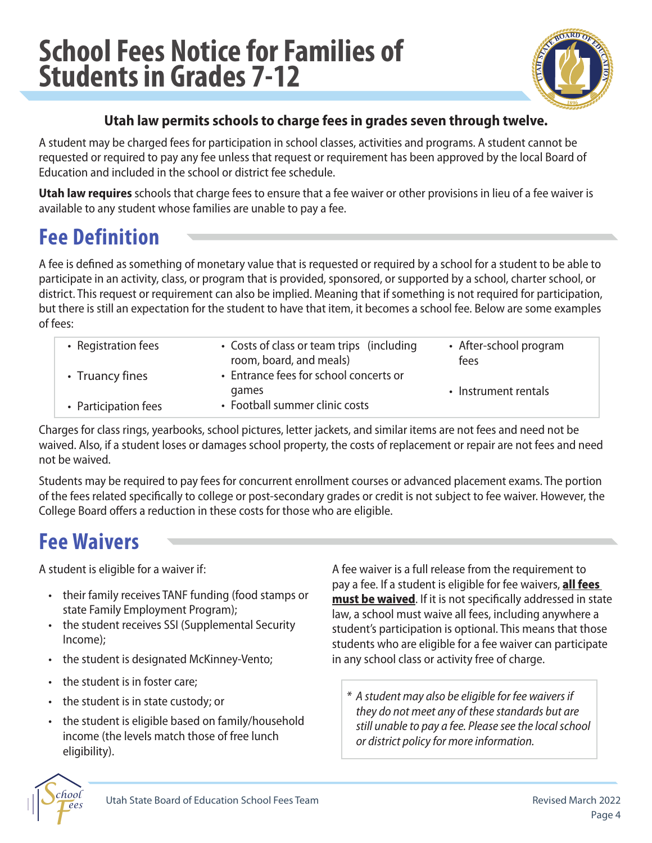### **School Fees Notice for Families of Students in Grades 7-12**



#### **Utah law permits schools to charge fees in grades seven through twelve.**

A student may be charged fees for participation in school classes, activities and programs. A student cannot be requested or required to pay any fee unless that request or requirement has been approved by the local Board of Education and included in the school or district fee schedule.

**Utah law requires** schools that charge fees to ensure that a fee waiver or other provisions in lieu of a fee waiver is available to any student whose families are unable to pay a fee.

### **Fee Definition**

A fee is defned as something of monetary value that is requested or required by a school for a student to be able to participate in an activity, class, or program that is provided, sponsored, or supported by a school, charter school, or district. This request or requirement can also be implied. Meaning that if something is not required for participation, but there is still an expectation for the student to have that item, it becomes a school fee. Below are some examples of fees:

| • Registration fees  | • Costs of class or team trips (including<br>room, board, and meals) | • After-school program<br>fees |
|----------------------|----------------------------------------------------------------------|--------------------------------|
| • Truancy fines      | • Entrance fees for school concerts or<br>games                      | • Instrument rentals           |
| • Participation fees | • Football summer clinic costs                                       |                                |

Charges for class rings, yearbooks, school pictures, letter jackets, and similar items are not fees and need not be waived. Also, if a student loses or damages school property, the costs of replacement or repair are not fees and need not be waived.

Students may be required to pay fees for concurrent enrollment courses or advanced placement exams. The portion of the fees related specifcally to college or post-secondary grades or credit is not subject to fee waiver. However, the College Board offers a reduction in these costs for those who are eligible.

### **Fee Waivers**

- 
- 
- the student is designated McKinney-Vento; in any school class or activity free of charge.
- the student is in foster care;
- 
- 

pay a fee. If a student is eligible for fee waivers, **all fees must be waived.** If it is not specifically addressed in state A student is eligible for a waiver if:  $\overline{A}$  fee waiver is a full release from the requirement to • their family receives TANF funding (food stamps or<br>state Family Employment Program);<br>• the student receives SSI (Supplemental Security<br>• the student receives SSI (Supplemental Security<br>• student's participation is option

• the student is in state custody; or<br>
• the student is eligible based on family/household<br>
income (the levels match those of free lunch<br>
eligibility).<br>
• A student may also be eligible for fee waivers if<br>
they do not meet

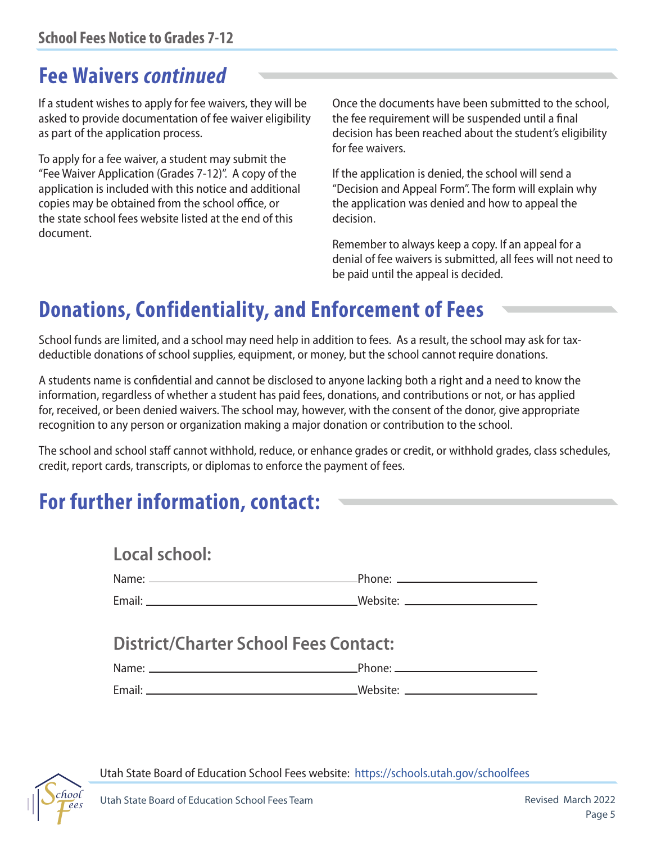### **Fee Waivers** *continued*

asked to provide documentation of fee waiver eligibility the fee requirement will be suspended until a fnal

To apply for a fee waiver, a student may submit the "Fee Waiver Application (Grades 7-12)". A copy of the If the application is denied, the school will send a copies may be obtained from the school office, or the application was denied and how to appeal the the state school fees website listed at the end of this decision. document.

If a student wishes to apply for fee waivers, they will be Once the documents have been submitted to the school, as part of the application process. decision has been reached about the student's eligibility for fee waivers.

application is included with this notice and additional "Decision and Appeal Form". The form will explain why

Remember to always keep a copy. If an appeal for a denial of fee waivers is submitted, all fees will not need to be paid until the appeal is decided.

### **Donations, Confidentiality, and Enforcement of Fees**

School funds are limited, and a school may need help in addition to fees. As a result, the school may ask for taxdeductible donations of school supplies, equipment, or money, but the school cannot require donations.

A students name is confdential and cannot be disclosed to anyone lacking both a right and a need to know the information, regardless of whether a student has paid fees, donations, and contributions or not, or has applied for, received, or been denied waivers. The school may, however, with the consent of the donor, give appropriate recognition to any person or organization making a major donation or contribution to the school.

The school and school staff cannot withhold, reduce, or enhance grades or credit, or withhold grades, class schedules, credit, report cards, transcripts, or diplomas to enforce the payment of fees.

### **For further information, contact:**

| Local school:                                |  |
|----------------------------------------------|--|
|                                              |  |
|                                              |  |
| <b>District/Charter School Fees Contact:</b> |  |
|                                              |  |



Utah State Board of Education School Fees website: <https://schools.utah.gov/schoolfees>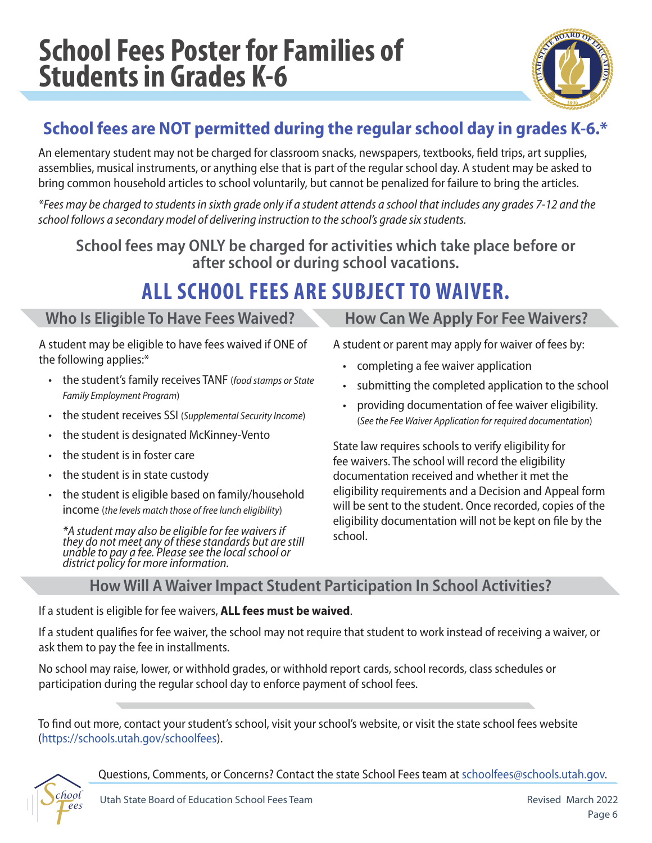### **School Fees Poster for Families of Students in Grades K-6**



### **School fees are NOT permitted during the regular school day in grades K-6.\***

An elementary student may not be charged for classroom snacks, newspapers, textbooks, feld trips, art supplies, assemblies, musical instruments, or anything else that is part of the regular school day. A student may be asked to bring common household articles to school voluntarily, but cannot be penalized for failure to bring the articles.

*\*Fees may be charged to students in sixth grade only if a student attends a school that includes any grades 7-12 and the school follows a secondary model of delivering instruction to the school's grade six students.* 

**School fees may ONLY be charged for activities which take place before or after school or during school vacations.** 

### **ALL SCHOOL FEES ARE SUBJECT TO WAIVER.**

#### Who Is Eligible To Have Fees Waived? **How Can We Apply For Fee Waivers?**

A student may be eligible to have fees waived if ONE of the following applies:\*

- the student's family receives TANF (*food stamps or State Family Employment Program*)
- the student receives SSI (*Supplemental Security Income*)
- the student is designated McKinney-Vento
- the student is in foster care
- the student is in state custody
- the student is eligible based on family/household income (*the levels match those of free lunch eligibility*)

*\*A student may also be eligible for fee waivers if they do not meet any of these standards but are still unable to pay a fee. Please see the local school or district policy for more information.* 

A student or parent may apply for waiver of fees by:

- completing a fee waiver application
- submitting the completed application to the school
- providing documentation of fee waiver eligibility. (*See the Fee Waiver Application for required documentation*)

State law requires schools to verify eligibility for fee waivers. The school will record the eligibility documentation received and whether it met the eligibility requirements and a Decision and Appeal form will be sent to the student. Once recorded, copies of the eligibility documentation will not be kept on fle by the school.

#### **How Will A Waiver Impact Student Participation In School Activities?**

If a student is eligible for fee waivers, **ALL fees must be waived**.

If a student qualifes for fee waiver, the school may not require that student to work instead of receiving a waiver, or ask them to pay the fee in installments.

No school may raise, lower, or withhold grades, or withhold report cards, school records, class schedules or participation during the regular school day to enforce payment of school fees.

To fnd out more, contact your student's school, visit your school's website, or visit the state school fees website [\(https://schools.utah.gov/schoolfees\)](https://schools.utah.gov/schoolfees).



Questions, Comments, or Concerns? Contact the state School Fees team at [schoolfees@schools.utah.gov.](mailto:schoolfees@schools.utah.gov)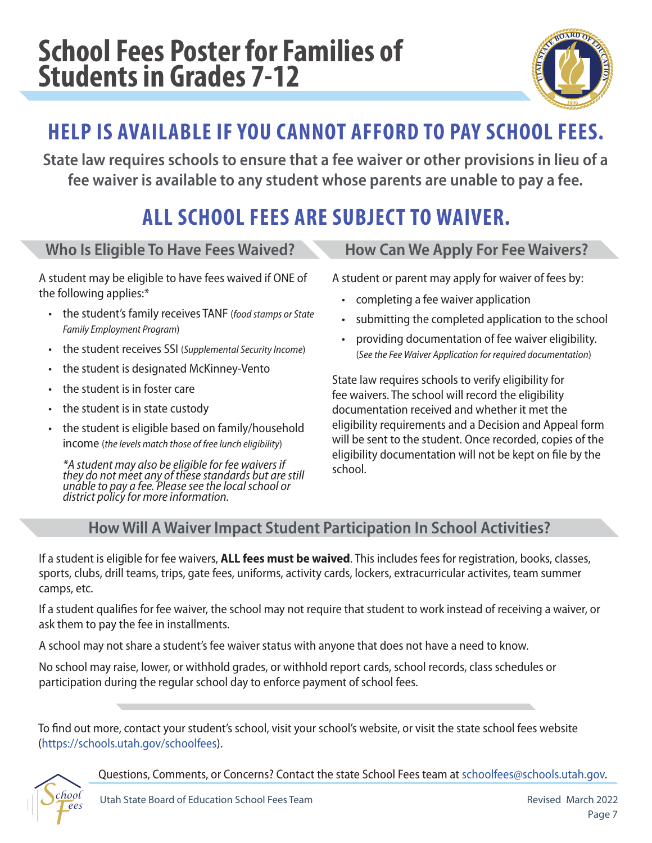### **School Fees Poster for Families of Students in Grades 7-12**



### **HELP IS AVAILABLE IF YOU CANNOT AFFORD TO PAY SCHOOL FEES.**

**State law requires schools to ensure that a fee waiver or other provisions in lieu of a fee waiver is available to any student whose parents are unable to pay a fee.**

### **ALL SCHOOL FEES ARE SUBJECT TO WAIVER.**

#### **Who Is Eligible To Have Fees Waived?**

A student may be eligible to have fees waived if ONE of the following applies:\*

- the student's family receives TANF (*food stamps or State Family Employment Program*)
- the student receives SSI (*Supplemental Security Income*)
- the student is designated McKinney-Vento
- the student is in foster care
- the student is in state custody
- the student is eligible based on family/household income (*the levels match those of free lunch eligibility*)

*\*A student may also be eligible for fee waivers if they do not meet any of these standards but are still unable to pay a fee. Please see the local school or district policy for more information.* 

#### **How Can We Apply For Fee Waivers?**

A student or parent may apply for waiver of fees by:

- completing a fee waiver application
- submitting the completed application to the school
- providing documentation of fee waiver eligibility. (*See the Fee Waiver Application for required documentation*)

State law requires schools to verify eligibility for fee waivers. The school will record the eligibility documentation received and whether it met the eligibility requirements and a Decision and Appeal form will be sent to the student. Once recorded, copies of the eligibility documentation will not be kept on fle by the school.

### **How Will A Waiver Impact Student Participation In School Activities?**

If a student is eligible for fee waivers, **ALL fees must be waived**. This includes fees for registration, books, classes, sports, clubs, drill teams, trips, gate fees, uniforms, activity cards, lockers, extracurricular activites, team summer camps, etc.

If a student qualifes for fee waiver, the school may not require that student to work instead of receiving a waiver, or ask them to pay the fee in installments.

A school may not share a student's fee waiver status with anyone that does not have a need to know.

No school may raise, lower, or withhold grades, or withhold report cards, school records, class schedules or participation during the regular school day to enforce payment of school fees.

To fnd out more, contact your student's school, visit your school's website, or visit the state school fees website [\(https://schools.utah.gov/schoolfees\)](https://schools.utah.gov/schoolfees).

Questions, Comments, or Concerns? Contact the state School Fees team at [schoolfees@schools.utah.gov.](mailto:schoolfees@schools.utah.gov)

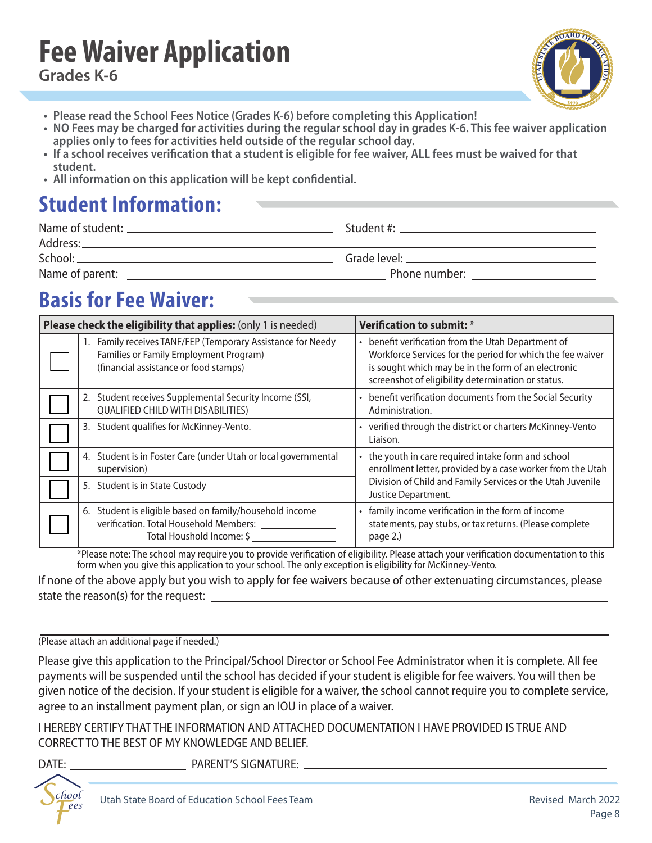### **Fee Waiver Application Grades K-6**



- **Please read the School Fees Notice (Grades K-6) before completing this Application!**
- **NO Fees may be charged for activities during the regular school day in grades K-6. This fee waiver application applies only to fees for activities held outside of the regular school day.**
- **If a school receives verifcation that a student is eligible for fee waiver, ALL fees must be waived for that student.**
- **All information on this application will be kept confdential.**

### **Student Information:**

| School:         | Grade level: The contract of the contract of the contract of the contract of the contract of the contract of the contract of the contract of the contract of the contract of the contract of the contract of the contract of t |
|-----------------|--------------------------------------------------------------------------------------------------------------------------------------------------------------------------------------------------------------------------------|
| Name of parent: | Phone number: New York Changes and The Changes of The Changes of The Changes of The Changes of The Changes of The Changes of The Changes of The Changes of The Changes of The Changes of The Changes of The Changes of The Cha |

### **Basis for Fee Waiver:**

| Please check the eligibility that applies: (only 1 is needed)                                                                                  | Verification to submit: *                                                                                                                                                                                                     |
|------------------------------------------------------------------------------------------------------------------------------------------------|-------------------------------------------------------------------------------------------------------------------------------------------------------------------------------------------------------------------------------|
| 1. Family receives TANF/FEP (Temporary Assistance for Needy<br>Families or Family Employment Program)<br>(financial assistance or food stamps) | • benefit verification from the Utah Department of<br>Workforce Services for the period for which the fee waiver<br>is sought which may be in the form of an electronic<br>screenshot of eligibility determination or status. |
| Student receives Supplemental Security Income (SSI,<br>2.<br><b>QUALIFIED CHILD WITH DISABILITIES)</b>                                         | • benefit verification documents from the Social Security<br>Administration.                                                                                                                                                  |
| 3. Student qualifies for McKinney-Vento.                                                                                                       | • verified through the district or charters McKinney-Vento<br>Liaison.                                                                                                                                                        |
| Student is in Foster Care (under Utah or local governmental<br>4.<br>supervision)                                                              | • the youth in care required intake form and school<br>enrollment letter, provided by a case worker from the Utah                                                                                                             |
| 5. Student is in State Custody                                                                                                                 | Division of Child and Family Services or the Utah Juvenile<br>Justice Department.                                                                                                                                             |
| 6. Student is eligible based on family/household income<br>verification. Total Household Members:<br>Total Houshold Income: \$                 | family income verification in the form of income<br>statements, pay stubs, or tax returns. (Please complete<br>page 2.)                                                                                                       |

\*Please note: The school may require you to provide verifcation of eligibility. Please attach your verifcation documentation to this form when you give this application to your school. The only exception is eligibility for McKinney-Vento.

If none of the above apply but you wish to apply for fee waivers because of other extenuating circumstances, please state the reason(s) for the request: \_

#### (Please attach an additional page if needed.)

Please give this application to the Principal/School Director or School Fee Administrator when it is complete. All fee payments will be suspended until the school has decided if your student is eligible for fee waivers. You will then be given notice of the decision. If your student is eligible for a waiver, the school cannot require you to complete service, agree to an installment payment plan, or sign an IOU in place of a waiver.

I HEREBY CERTIFY THAT THE INFORMATION AND ATTACHED DOCUMENTATION I HAVE PROVIDED IS TRUE AND CORRECT TO THE BEST OF MY KNOWLEDGE AND BELIEF.

I

DATE: PARENT'S SIGNATURE: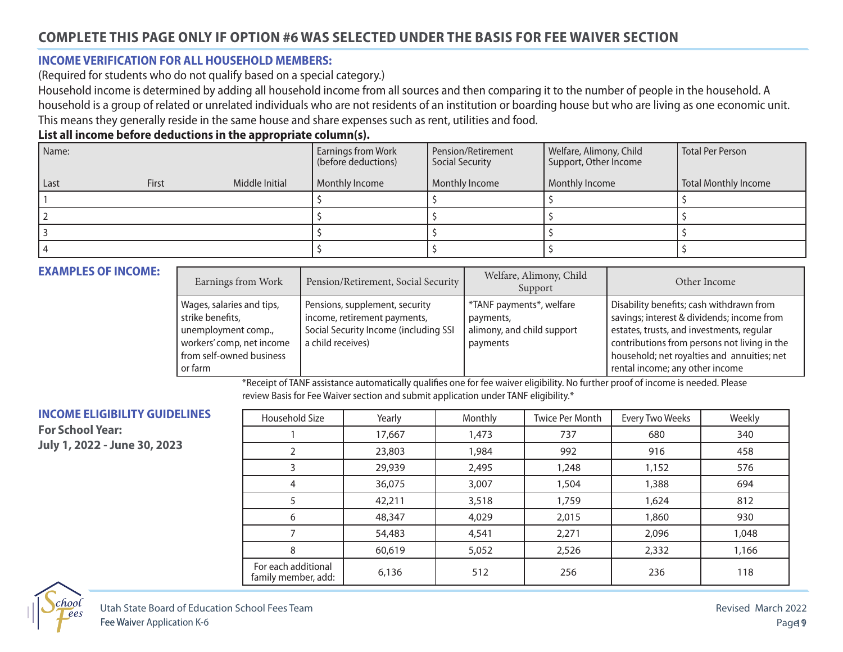#### **INCOME VERIFICATION FOR ALL HOUSEHOLD MEMBERS:**

(Required for students who do not qualify based on a special category.)

Household income is determined by adding all household income from all sources and then comparing it to the number of people in the household. A household is a group of related or unrelated individuals who are not residents of an institution or boarding house but who are living as one economic unit. This means they generally reside in the same house and share expenses such as rent, utilities and food.

#### **List all income before deductions in the appropriate column(s).**

| Name: |       |                | <b>Earnings from Work</b><br>(before deductions) | Pension/Retirement<br>Social Security | Welfare, Alimony, Child<br>Support, Other Income | Total Per Person     |
|-------|-------|----------------|--------------------------------------------------|---------------------------------------|--------------------------------------------------|----------------------|
| Last  | First | Middle Initial | Monthly Income                                   | Monthly Income                        | Monthly Income                                   | Total Monthly Income |
|       |       |                |                                                  |                                       |                                                  |                      |
|       |       |                |                                                  |                                       |                                                  |                      |
|       |       |                |                                                  |                                       |                                                  |                      |
|       |       |                |                                                  |                                       |                                                  |                      |

#### **EXAMPLES OF INCOME:**

| Earnings from Work                                                                                                                       | Pension/Retirement, Social Security                                                                                          | Welfare, Alimony, Child<br>Support                                              | Other Income                                                                                                                                                                                                                                                          |
|------------------------------------------------------------------------------------------------------------------------------------------|------------------------------------------------------------------------------------------------------------------------------|---------------------------------------------------------------------------------|-----------------------------------------------------------------------------------------------------------------------------------------------------------------------------------------------------------------------------------------------------------------------|
| Wages, salaries and tips,<br>strike benefits,<br>unemployment comp.,<br>workers' comp, net income<br>from self-owned business<br>or farm | Pensions, supplement, security<br>income, retirement payments,<br>Social Security Income (including SSI<br>a child receives) | *TANF payments*, welfare<br>payments,<br>alimony, and child support<br>payments | Disability benefits; cash withdrawn from<br>savings; interest & dividends; income from<br>estates, trusts, and investments, regular<br>contributions from persons not living in the<br>household; net royalties and annuities; net<br>rental income; any other income |

\*Receipt of TANF assistance automatically qualifes one for fee waiver eligibility. No further proof of income is needed. Please review Basis for Fee Waiver section and submit application under TANF eligibility.\*

#### **INCOME ELIGIBILITY GUIDELINES**

**For School Year: July 1, 2022 - June 30, 2023**

| Household Size                             | Yearly | Monthly | <b>Twice Per Month</b> | <b>Every Two Weeks</b> | Weekly |
|--------------------------------------------|--------|---------|------------------------|------------------------|--------|
|                                            | 17,667 | 1,473   | 737                    | 680                    | 340    |
|                                            | 23,803 | 1,984   | 992                    | 916                    | 458    |
| 3                                          | 29,939 | 2,495   | 1,248                  | 1,152                  | 576    |
| 4                                          | 36,075 | 3,007   | 1,504                  | 1,388                  | 694    |
|                                            | 42,211 | 3,518   | 1,759                  | 1,624                  | 812    |
| 6                                          | 48,347 | 4,029   | 2,015                  | 1,860                  | 930    |
|                                            | 54,483 | 4,541   | 2,271                  | 2,096                  | 1,048  |
| 8                                          | 60,619 | 5,052   | 2,526                  | 2,332                  | 1,166  |
| For each additional<br>family member, add: | 6,136  | 512     | 256                    | 236                    | 118    |

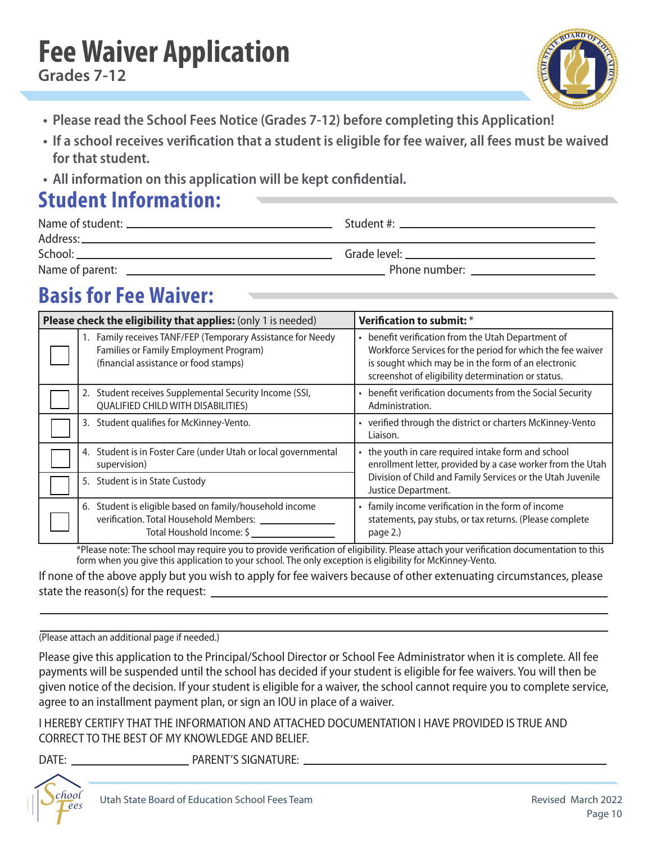## **Fee Waiver Application**



- **• Please read the School Fees Notice (Grades 7-12) before completing this Application!**
- **• If a school receives verifcation that a student is eligible for fee waiver, all fees must be waived for that student.**
- **• All information on this application will be kept confdential.**

### **Student Information:**

| Address: _      | Student #: New York Processor 2014                                                                                                                                                                                             |
|-----------------|--------------------------------------------------------------------------------------------------------------------------------------------------------------------------------------------------------------------------------|
|                 |                                                                                                                                                                                                                                |
| Name of parent: | Phone number: New York Changes and The Changes of The Changes and The Changes of The Changes of The Changes of The Changes of The Changes of The Changes of The Changes of The Changes of The Changes of The Changes of The Ch |

### **Basis for Fee Waiver:**

| Please check the eligibility that applies: (only 1 is needed)                                                                                  | Verification to submit: *                                                                                                                                                                                                     |
|------------------------------------------------------------------------------------------------------------------------------------------------|-------------------------------------------------------------------------------------------------------------------------------------------------------------------------------------------------------------------------------|
| 1. Family receives TANF/FEP (Temporary Assistance for Needy<br>Families or Family Employment Program)<br>(financial assistance or food stamps) | • benefit verification from the Utah Department of<br>Workforce Services for the period for which the fee waiver<br>is sought which may be in the form of an electronic<br>screenshot of eligibility determination or status. |
| Student receives Supplemental Security Income (SSI,<br>2.<br><b>QUALIFIED CHILD WITH DISABILITIES)</b>                                         | • benefit verification documents from the Social Security<br>Administration.                                                                                                                                                  |
| 3. Student qualifies for McKinney-Vento.                                                                                                       | • verified through the district or charters McKinney-Vento<br>Liaison.                                                                                                                                                        |
| Student is in Foster Care (under Utah or local governmental<br>4.<br>supervision)                                                              | • the youth in care required intake form and school<br>enrollment letter, provided by a case worker from the Utah                                                                                                             |
| 5. Student is in State Custody                                                                                                                 | Division of Child and Family Services or the Utah Juvenile<br>Justice Department.                                                                                                                                             |
| Student is eligible based on family/household income<br>6.<br>verification. Total Household Members:<br>Total Houshold Income: \$              | family income verification in the form of income<br>statements, pay stubs, or tax returns. (Please complete<br>page 2.)                                                                                                       |

\*Please note: The school may require you to provide verifcation of eligibility. Please attach your verifcation documentation to this form when you give this application to your school. The only exception is eligibility for McKinney-Vento.

If none of the above apply but you wish to apply for fee waivers because of other extenuating circumstances, please state the reason(s) for the request:

(Please attach an additional page if needed.)

Please give this application to the Principal/School Director or School Fee Administrator when it is complete. All fee payments will be suspended until the school has decided if your student is eligible for fee waivers. You will then be given notice of the decision. If your student is eligible for a waiver, the school cannot require you to complete service, agree to an installment payment plan, or sign an IOU in place of a waiver.

I HEREBY CERTIFY THAT THE INFORMATION AND ATTACHED DOCUMENTATION I HAVE PROVIDED IS TRUE AND CORRECT TO THE BEST OF MY KNOWLEDGE AND BELIEF.

DATE: PARENT'S SIGNATURE:

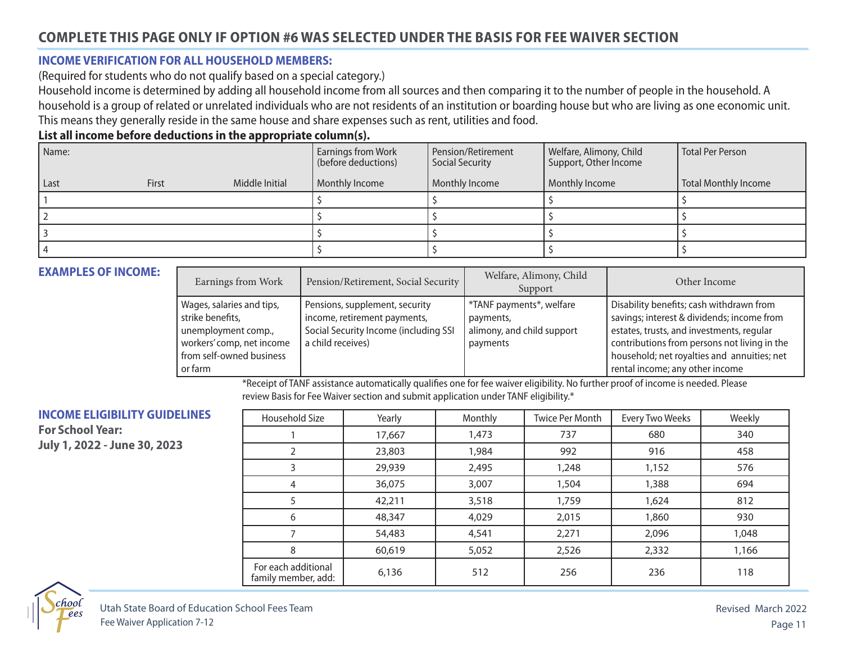#### **INCOME VERIFICATION FOR ALL HOUSEHOLD MEMBERS:**

(Required for students who do not qualify based on a special category.)

Household income is determined by adding all household income from all sources and then comparing it to the number of people in the household. A household is a group of related or unrelated individuals who are not residents of an institution or boarding house but who are living as one economic unit. This means they generally reside in the same house and share expenses such as rent, utilities and food.

#### **List all income before deductions in the appropriate column(s).**

| Name: |       |                | <b>Earnings from Work</b><br>(before deductions) | Pension/Retirement<br>Social Security | Welfare, Alimony, Child<br>Support, Other Income | Total Per Person     |
|-------|-------|----------------|--------------------------------------------------|---------------------------------------|--------------------------------------------------|----------------------|
| Last  | First | Middle Initial | Monthly Income                                   | Monthly Income                        | Monthly Income                                   | Total Monthly Income |
|       |       |                |                                                  |                                       |                                                  |                      |
|       |       |                |                                                  |                                       |                                                  |                      |
|       |       |                |                                                  |                                       |                                                  |                      |
|       |       |                |                                                  |                                       |                                                  |                      |

#### **EXAMPLES OF INCOME:**

| Earnings from Work                                                                                                                       | Pension/Retirement, Social Security                                                                                          | Welfare, Alimony, Child<br>Support                                              | Other Income                                                                                                                                                                                                                                                          |
|------------------------------------------------------------------------------------------------------------------------------------------|------------------------------------------------------------------------------------------------------------------------------|---------------------------------------------------------------------------------|-----------------------------------------------------------------------------------------------------------------------------------------------------------------------------------------------------------------------------------------------------------------------|
| Wages, salaries and tips,<br>strike benefits,<br>unemployment comp.,<br>workers' comp, net income<br>from self-owned business<br>or farm | Pensions, supplement, security<br>income, retirement payments,<br>Social Security Income (including SSI<br>a child receives) | *TANF payments*, welfare<br>payments,<br>alimony, and child support<br>payments | Disability benefits; cash withdrawn from<br>savings; interest & dividends; income from<br>estates, trusts, and investments, regular<br>contributions from persons not living in the<br>household; net royalties and annuities; net<br>rental income; any other income |

\*Receipt of TANF assistance automatically qualifes one for fee waiver eligibility. No further proof of income is needed. Please review Basis for Fee Waiver section and submit application under TANF eligibility.\*

#### **INCOME ELIGIBILITY GUIDELINES**

**For School Year: July 1, 2022 - June 30, 2023**

| Household Size                             | Yearly | Monthly | Twice Per Month | Every Two Weeks | Weekly |
|--------------------------------------------|--------|---------|-----------------|-----------------|--------|
|                                            | 17,667 | 1,473   | 737             | 680             | 340    |
|                                            | 23,803 | 1,984   | 992             | 916             | 458    |
| 3                                          | 29,939 | 2,495   | 1,248           | 1,152           | 576    |
| 4                                          | 36,075 | 3,007   | 1,504           | 1,388           | 694    |
|                                            | 42,211 | 3,518   | 1,759           | 1,624           | 812    |
| 6                                          | 48,347 | 4,029   | 2,015           | 1,860           | 930    |
|                                            | 54,483 | 4,541   | 2,271           | 2,096           | 1,048  |
| 8                                          | 60,619 | 5,052   | 2,526           | 2,332           | 1,166  |
| For each additional<br>family member, add: | 6,136  | 512     | 256             | 236             | 118    |

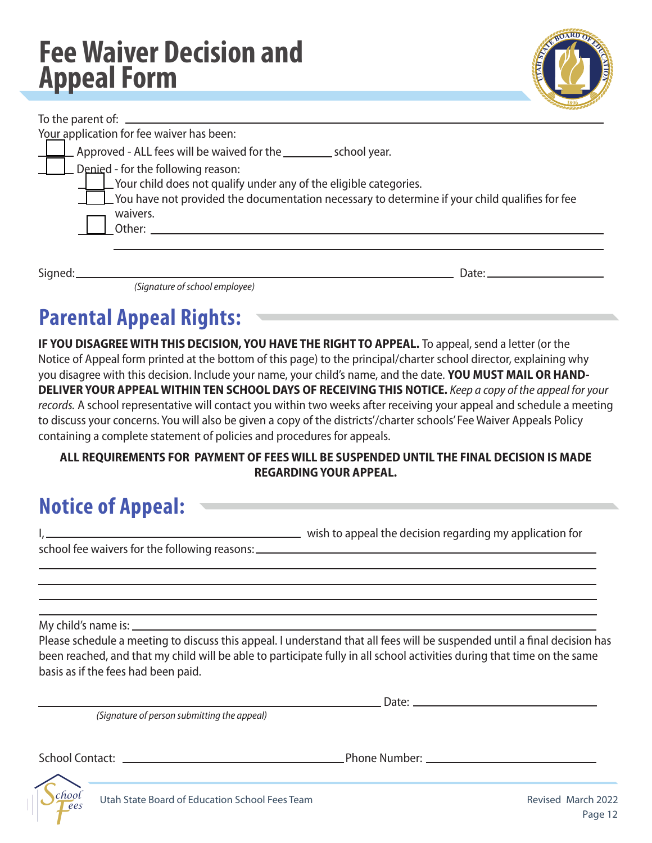### **Fee Waiver Decision and Appeal Form**

|   | NEOARD OF CA |   |
|---|--------------|---|
| ₹ | 1896         | Ē |

| Your application for fee waiver has been:                                                                                                                                                                                                  |  |
|--------------------------------------------------------------------------------------------------------------------------------------------------------------------------------------------------------------------------------------------|--|
|                                                                                                                                                                                                                                            |  |
| $\perp$ Approved - ALL fees will be waived for the _________ school year.                                                                                                                                                                  |  |
| $\Box$ Denied - for the following reason:<br>$\Box$ Your child does not qualify under any of the eligible categories.<br>$\Box$ You have not provided the documentation necessary to determine if your child qualifies for fee<br>waivers. |  |
| Other:                                                                                                                                                                                                                                     |  |
|                                                                                                                                                                                                                                            |  |
| Signed:_<br>Date:_                                                                                                                                                                                                                         |  |

*(Signature of school employee)* 

### **Parental Appeal Rights:**

**IF YOU DISAGREE WITH THIS DECISION, YOU HAVE THE RIGHT TO APPEAL.** To appeal, send a letter (or the Notice of Appeal form printed at the bottom of this page) to the principal/charter school director, explaining why you disagree with this decision. Include your name, your child's name, and the date. **YOU MUST MAIL OR HAND-DELIVER YOUR APPEAL WITHIN TEN SCHOOL DAYS OF RECEIVING THIS NOTICE.** *Keep a copy of the appeal for your records.* A school representative will contact you within two weeks after receiving your appeal and schedule a meeting to discuss your concerns. You will also be given a copy of the districts'/charter schools' Fee Waiver Appeals Policy containing a complete statement of policies and procedures for appeals.

#### **ALL REQUIREMENTS FOR PAYMENT OF FEES WILL BE SUSPENDED UNTIL THE FINAL DECISION IS MADE REGARDING YOUR APPEAL.**

### **Notice of Appeal:**

|                                               | wish to appeal the decision regarding my application for |
|-----------------------------------------------|----------------------------------------------------------|
| school fee waivers for the following reasons: |                                                          |

My child's name is:

Please schedule a meeting to discuss this appeal. I understand that all fees will be suspended until a fnal decision has been reached, and that my child will be able to participate fully in all school activities during that time on the same basis as if the fees had been paid.

*(Signature of person submitting the appeal)* 

Date:

School Contact: Letter School Contact: Phone Number: Letter School Contact: Letter School Contact: Letter School School School School School School School School School School School School School School School School Scho

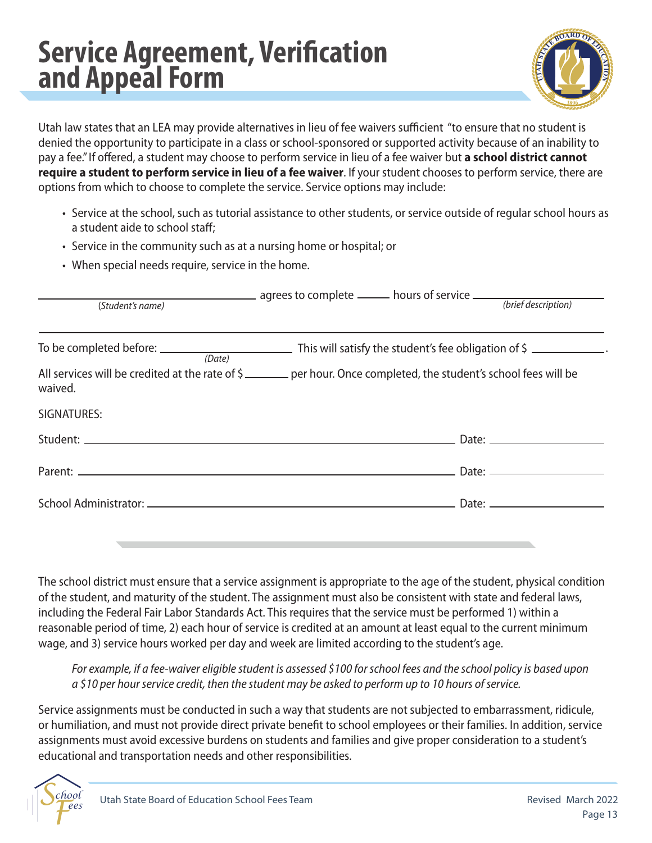### **Service Agreement, Verifcation and Appeal Form**



Utah law states that an LEA may provide alternatives in lieu of fee waivers sufficient "to ensure that no student is denied the opportunity to participate in a class or school-sponsored or supported activity because of an inability to pay a fee." If ofered, a student may choose to perform service in lieu of a fee waiver but **a school district cannot require a student to perform service in lieu of a fee waiver**. If your student chooses to perform service, there are options from which to choose to complete the service. Service options may include:

- Service at the school, such as tutorial assistance to other students, or service outside of regular school hours as a student aide to school staff:
- Service in the community such as at a nursing home or hospital; or
- When special needs require, service in the home.

| (Student's name) | agrees to complete ______ hours of service _______ (brief description)                                           |
|------------------|------------------------------------------------------------------------------------------------------------------|
|                  | To be completed before: $\sqrt{a_{\text{net}}}$ This will satisfy the student's fee obligation of \$             |
| waived.          | All services will be credited at the rate of \$ 2000 Let nour. Once completed, the student's school fees will be |
| SIGNATURES:      |                                                                                                                  |
|                  |                                                                                                                  |
|                  |                                                                                                                  |
|                  |                                                                                                                  |
|                  |                                                                                                                  |

The school district must ensure that a service assignment is appropriate to the age of the student, physical condition of the student, and maturity of the student. The assignment must also be consistent with state and federal laws, including the Federal Fair Labor Standards Act. This requires that the service must be performed 1) within a reasonable period of time, 2) each hour of service is credited at an amount at least equal to the current minimum wage, and 3) service hours worked per day and week are limited according to the student's age.

*For example, if a fee-waiver eligible student is assessed \$100 for school fees and the school policy is based upon a \$10 per hour service credit, then the student may be asked to perform up to 10 hours of service.* 

Service assignments must be conducted in such a way that students are not subjected to embarrassment, ridicule, or humiliation, and must not provide direct private beneft to school employees or their families. In addition, service assignments must avoid excessive burdens on students and families and give proper consideration to a student's educational and transportation needs and other responsibilities.

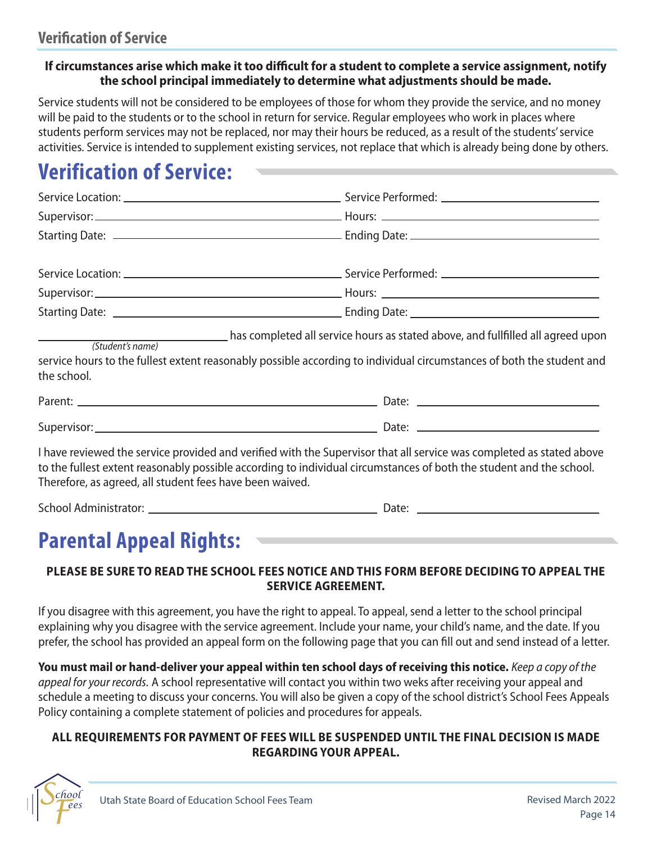#### If circumstances arise which make it too difficult for a student to complete a service assignment, notify **the school principal immediately to determine what adjustments should be made.**

Service students will not be considered to be employees of those for whom they provide the service, and no money will be paid to the students or to the school in return for service. Regular employees who work in places where students perform services may not be replaced, nor may their hours be reduced, as a result of the students' service activities. Service is intended to supplement existing services, not replace that which is already being done by others.

### **Verification of Service:**

| the school. | (Student's name) has completed all service hours as stated above, and fullfilled all agreed upon<br>service hours to the fullest extent reasonably possible according to individual circumstances of both the student and |
|-------------|---------------------------------------------------------------------------------------------------------------------------------------------------------------------------------------------------------------------------|
|             |                                                                                                                                                                                                                           |

| -<br>.<br>ΟU<br>150 L L |  | Jd۱ |  |  |
|-------------------------|--|-----|--|--|
|                         |  |     |  |  |

I have reviewed the service provided and verified with the Supervisor that all service was completed as stated above to the fullest extent reasonably possible according to individual circumstances of both the student and the school. Therefore, as agreed, all student fees have been waived.

School Administrator: Date:

### **Parental Appeal Rights:**

#### **PLEASE BE SURE TO READ THE SCHOOL FEES NOTICE AND THIS FORM BEFORE DECIDING TO APPEAL THE SERVICE AGREEMENT.**

If you disagree with this agreement, you have the right to appeal. To appeal, send a letter to the school principal explaining why you disagree with the service agreement. Include your name, your child's name, and the date. If you prefer, the school has provided an appeal form on the following page that you can fll out and send instead of a letter.

**You must mail or hand-deliver your appeal within ten school days of receiving this notice.** *Keep a copy of the appeal for your records.* A school representative will contact you within two weks after receiving your appeal and schedule a meeting to discuss your concerns. You will also be given a copy of the school district's School Fees Appeals Policy containing a complete statement of policies and procedures for appeals.

#### **ALL REQUIREMENTS FOR PAYMENT OF FEES WILL BE SUSPENDED UNTIL THE FINAL DECISION IS MADE REGARDING YOUR APPEAL.**